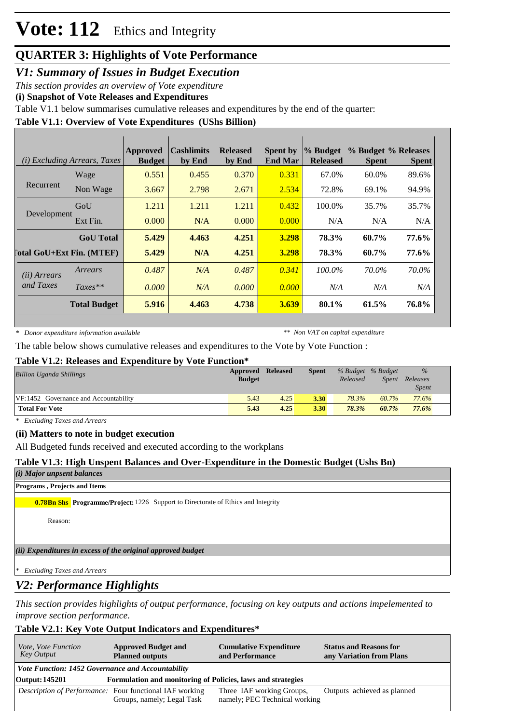# **Vote: 112** Ethics and Integrity

# **QUARTER 3: Highlights of Vote Performance**

*V1: Summary of Issues in Budget Execution*

*This section provides an overview of Vote expenditure* 

**(i) Snapshot of Vote Releases and Expenditures**

Table V1.1 below summarises cumulative releases and expenditures by the end of the quarter:

## **Table V1.1: Overview of Vote Expenditures (UShs Billion)**

| <i>(i)</i> Excluding Arrears, Taxes |                     | <b>Approved</b><br><b>Budget</b> | <b>Cashlimits</b><br>by End | <b>Released</b><br>by End | <b>Spent by</b><br><b>End Mar</b> | % Budget<br><b>Released</b> | % Budget % Releases<br><b>Spent</b> | <b>Spent</b> |
|-------------------------------------|---------------------|----------------------------------|-----------------------------|---------------------------|-----------------------------------|-----------------------------|-------------------------------------|--------------|
|                                     | Wage                | 0.551                            | 0.455                       | 0.370                     | 0.331                             | 67.0%                       | 60.0%                               | 89.6%        |
| Recurrent                           | Non Wage            | 3.667                            | 2.798                       | 2.671                     | 2.534                             | 72.8%                       | 69.1%                               | 94.9%        |
| Development                         | GoU                 | 1.211                            | 1.211                       | 1.211                     | 0.432                             | 100.0%                      | 35.7%                               | 35.7%        |
|                                     | Ext Fin.            | 0.000                            | N/A                         | 0.000                     | 0.000                             | N/A                         | N/A                                 | N/A          |
|                                     | <b>GoU</b> Total    | 5.429                            | 4.463                       | 4.251                     | 3.298                             | 78.3%                       | 60.7%                               | 77.6%        |
| <b>Total GoU+Ext Fin. (MTEF)</b>    |                     | 5.429                            | N/A                         | 4.251                     | 3.298                             | 78.3%                       | 60.7%                               | 77.6%        |
| ( <i>ii</i> ) Arrears               | Arrears             | 0.487                            | N/A                         | 0.487                     | 0.341                             | $100.0\%$                   | 70.0%                               | 70.0%        |
| and Taxes                           | $Taxes**$           | 0.000                            | N/A                         | 0.000                     | 0.000                             | N/A                         | N/A                                 | N/A          |
|                                     | <b>Total Budget</b> | 5.916                            | 4.463                       | 4.738                     | <b>3.639</b>                      | 80.1%                       | 61.5%                               | 76.8%        |

*\* Donor expenditure information available*

*\*\* Non VAT on capital expenditure*

The table below shows cumulative releases and expenditures to the Vote by Vote Function :

## **Table V1.2: Releases and Expenditure by Vote Function\***

| <b>Billion Uganda Shillings</b>       | Approved<br><b>Budget</b> | <b>Released</b> | <b>Spent</b> | Released | % Budget % Budget<br>Spent | $\%$<br>Releases<br><i>Spent</i> |
|---------------------------------------|---------------------------|-----------------|--------------|----------|----------------------------|----------------------------------|
| VF:1452 Governance and Accountability | 5.43                      | 4.25            | 3.30         | 78.3%    | 60.7%                      | 77.6%                            |
| <b>Total For Vote</b>                 | 5.43                      | 4.25            | 3.30         | 78.3%    | 60.7%                      | 77.6%                            |

*\* Excluding Taxes and Arrears*

#### **(ii) Matters to note in budget execution**

All Budgeted funds received and executed according to the workplans

## **Table V1.3: High Unspent Balances and Over-Expenditure in the Domestic Budget (Ushs Bn)**

*(i) Major unpsent balances*

#### **Programs , Projects and Items**

**0.78Bn Shs Programme/Project:** 1226 Support to Directorate of Ethics and Integrity

Reason:

*(ii) Expenditures in excess of the original approved budget*

*\* Excluding Taxes and Arrears*

# *V2: Performance Highlights*

*This section provides highlights of output performance, focusing on key outputs and actions impelemented to improve section performance.*

## **Table V2.1: Key Vote Output Indicators and Expenditures\***

| Vote, Vote Function<br>Key Output | <b>Approved Budget and</b><br><b>Planned outputs</b>                                  | <b>Cumulative Expenditure</b><br>and Performance           | <b>Status and Reasons for</b><br>any Variation from Plans |  |  |  |  |  |  |
|-----------------------------------|---------------------------------------------------------------------------------------|------------------------------------------------------------|-----------------------------------------------------------|--|--|--|--|--|--|
|                                   | Vote Function: 1452 Governance and Accountability                                     |                                                            |                                                           |  |  |  |  |  |  |
| Output: 145201                    | Formulation and monitoring of Policies, laws and strategies                           |                                                            |                                                           |  |  |  |  |  |  |
|                                   | Description of Performance: Four functional IAF working<br>Groups, namely; Legal Task | Three IAF working Groups,<br>namely; PEC Technical working | Outputs achieved as planned                               |  |  |  |  |  |  |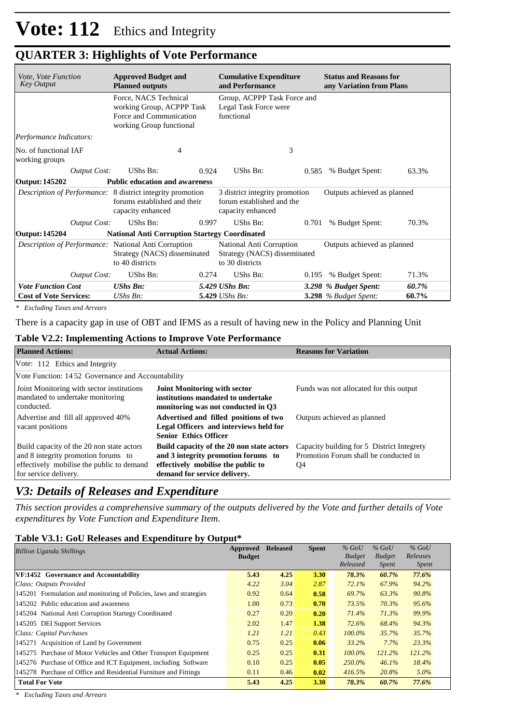| Vote, Vote Function<br><b>Key Output</b>             | <b>Approved Budget and</b><br><b>Planned outputs</b>                                                            | <b>Cumulative Expenditure</b><br>and Performance                                 | <b>Status and Reasons for</b><br>any Variation from Plans |       |
|------------------------------------------------------|-----------------------------------------------------------------------------------------------------------------|----------------------------------------------------------------------------------|-----------------------------------------------------------|-------|
|                                                      | Force, NACS Technical<br>working Group, ACPPP Task<br>Force and Communication<br>working Group functional       | Group, ACPPP Task Force and<br>Legal Task Force were<br>functional               |                                                           |       |
| Performance Indicators:                              |                                                                                                                 |                                                                                  |                                                           |       |
| No. of functional IAF<br>working groups              | 4                                                                                                               | 3                                                                                |                                                           |       |
| <b>Output Cost:</b>                                  | UShs Bn:<br>0.924                                                                                               | UShs Bn:                                                                         | 0.585<br>% Budget Spent:                                  | 63.3% |
| <b>Output: 145202</b>                                | <b>Public education and awareness</b>                                                                           |                                                                                  |                                                           |       |
|                                                      | Description of Performance: 8 district integrity promotion<br>forums established and their<br>capacity enhanced | 3 district integrity promotion<br>forum established and the<br>capacity enhanced | Outputs achieved as planned                               |       |
| <b>Output Cost:</b>                                  | UShs Bn:<br>0.997                                                                                               | UShs Bn:                                                                         | 0.701<br>% Budget Spent:                                  | 70.3% |
| <b>Output: 145204</b>                                | <b>National Anti Corruption Startegy Coordinated</b>                                                            |                                                                                  |                                                           |       |
| Description of Performance: National Anti Corruption | Strategy (NACS) disseminated<br>to 40 districts                                                                 | National Anti Corruption<br>Strategy (NACS) disseminated<br>to 30 districts      | Outputs achieved as planned                               |       |
| <b>Output Cost:</b>                                  | UShs Bn:<br>0.274                                                                                               | UShs Bn:                                                                         | % Budget Spent:<br>0.195                                  | 71.3% |
| <b>Vote Function Cost</b>                            | <b>UShs Bn:</b>                                                                                                 | 5.429 UShs Bn:                                                                   | 3.298 % Budget Spent:                                     | 60.7% |
| <b>Cost of Vote Services:</b>                        | $UShs Bn$ :                                                                                                     | 5.429 UShs Bn:                                                                   | 3.298 % Budget Spent:                                     | 60.7% |

# **QUARTER 3: Highlights of Vote Performance**

*\* Excluding Taxes and Arrears*

There is a capacity gap in use of OBT and IFMS as a result of having new in the Policy and Planning Unit

### **Table V2.2: Implementing Actions to Improve Vote Performance**

| <b>Planned Actions:</b>                                                                                                                                | <b>Actual Actions:</b>                                                                                                                                 | <b>Reasons for Variation</b>                                                              |
|--------------------------------------------------------------------------------------------------------------------------------------------------------|--------------------------------------------------------------------------------------------------------------------------------------------------------|-------------------------------------------------------------------------------------------|
| Vote: 112 Ethics and Integrity                                                                                                                         |                                                                                                                                                        |                                                                                           |
| Vote Function: 1452 Governance and Accountability                                                                                                      |                                                                                                                                                        |                                                                                           |
| Joint Monitoring with sector institutions<br>mandated to undertake monitoring<br>conducted.                                                            | <b>Joint Monitoring with sector</b><br>institutions mandated to undertake<br>monitoring was not conducted in O3                                        | Funds was not allocated for this output                                                   |
| Advertise and fill all approved 40%<br>vacant positions                                                                                                | Advertised and filled positions of two<br>Legal Officers and interviews held for<br><b>Senior Ethics Officer</b>                                       | Outputs achieved as planned                                                               |
| Build capacity of the 20 non state actors<br>and 8 integrity promotion forums to<br>effectively mobilise the public to demand<br>for service delivery. | Build capacity of the 20 non state actors<br>and 3 integrity promotion forums to<br>effectively mobilise the public to<br>demand for service delivery. | Capacity building for 5 District Integrety<br>Promotion Forum shall be conducted in<br>Q4 |

## *V3: Details of Releases and Expenditure*

*This section provides a comprehensive summary of the outputs delivered by the Vote and further details of Vote expenditures by Vote Function and Expenditure Item.*

#### **Table V3.1: GoU Releases and Expenditure by Output\***

| <b>Billion Uganda Shillings</b>                                    |      | <b>Released</b> | <b>Spent</b> | $%$ GoU<br><b>Budget</b><br>Released | $%$ GoU<br><b>Budget</b><br><i>Spent</i> | $%$ GoU<br>Releases<br><i>Spent</i> |
|--------------------------------------------------------------------|------|-----------------|--------------|--------------------------------------|------------------------------------------|-------------------------------------|
| VF:1452 Governance and Accountability                              | 5.43 | 4.25            | 3.30         | 78.3%                                | 60.7%                                    | 77.6%                               |
| Class: Outputs Provided                                            | 4.22 | 3.04            | 2.87         | 72.1%                                | 67.9%                                    | 94.2%                               |
| 145201 Formulation and monitoring of Policies, laws and strategies | 0.92 | 0.64            | 0.58         | 69.7%                                | 63.3%                                    | 90.8%                               |
| 145202 Public education and awareness                              | 1.00 | 0.73            | 0.70         | 73.5%                                | 70.3%                                    | 95.6%                               |
| 145204 National Anti Corruption Startegy Coordinated               |      | 0.20            | 0.20         | 71.4%                                | 71.3%                                    | 99.9%                               |
| 145205 DEI Support Services                                        | 2.02 | 1.47            | 1.38         | 72.6%                                | 68.4%                                    | 94.3%                               |
| Class: Capital Purchases                                           |      | 1.21            | 0.43         | $100.0\%$                            | 35.7%                                    | 35.7%                               |
| 145271 Acquisition of Land by Government                           | 0.75 | 0.25            | 0.06         | 33.2%                                | 7.7%                                     | 23.3%                               |
| 145275 Purchase of Motor Vehicles and Other Transport Equipment    | 0.25 | 0.25            | 0.31         | $100.0\%$                            | 121.2%                                   | 121.2%                              |
| 145276 Purchase of Office and ICT Equipment, including Software    |      | 0.25            | 0.05         | 250.0%                               | 46.1%                                    | 18.4%                               |
| 145278 Purchase of Office and Residential Furniture and Fittings   |      | 0.46            | 0.02         | 416.5%                               | 20.8%                                    | 5.0%                                |
| <b>Total For Vote</b>                                              | 5.43 | 4.25            | 3.30         | 78.3%                                | 60.7%                                    | 77.6%                               |

*\* Excluding Taxes and Arrears*